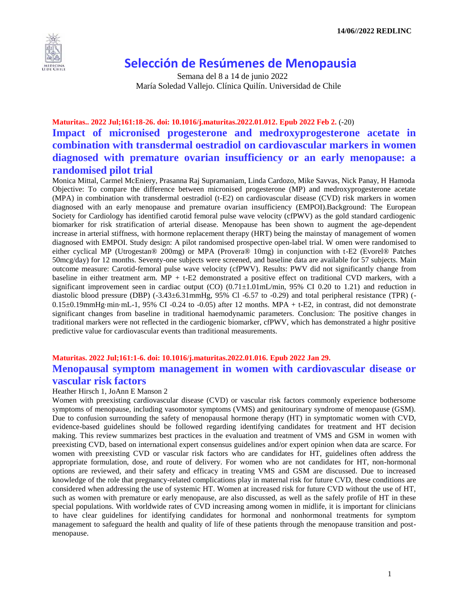

# **Selección de Resúmenes de Menopausia**

 Semana del 8 a 14 de junio 2022 María Soledad Vallejo. Clínica Quilín. Universidad de Chile

# **Maturitas.. 2022 Jul;161:18-26. doi: 10.1016/j.maturitas.2022.01.012. Epub 2022 Feb 2.** (-20) **Impact of micronised progesterone and medroxyprogesterone acetate in combination with transdermal oestradiol on cardiovascular markers in women diagnosed with premature ovarian insufficiency or an early menopause: a randomised pilot trial**

Monica Mittal, Carmel McEniery, Prasanna Raj Supramaniam, Linda Cardozo, Mike Savvas, Nick Panay, H Hamoda Objective: To compare the difference between micronised progesterone (MP) and medroxyprogesterone acetate (MPA) in combination with transdermal oestradiol (t-E2) on cardiovascular disease (CVD) risk markers in women diagnosed with an early menopause and premature ovarian insufficiency (EMPOI).Background: The European Society for Cardiology has identified carotid femoral pulse wave velocity (cfPWV) as the gold standard cardiogenic biomarker for risk stratification of arterial disease. Menopause has been shown to augment the age-dependent increase in arterial stiffness, with hormone replacement therapy (HRT) being the mainstay of management of women diagnosed with EMPOI. Study design: A pilot randomised prospective open-label trial. W omen were randomised to either cyclical MP (Utrogestan® 200mg) or MPA (Provera® 10mg) in conjunction with t-E2 (Evorel® Patches 50mcg/day) for 12 months. Seventy-one subjects were screened, and baseline data are available for 57 subjects. Main outcome measure: Carotid-femoral pulse wave velocity (cfPWV). Results: PWV did not significantly change from baseline in either treatment arm. MP + t-E2 demonstrated a positive effect on traditional CVD markers, with a significant improvement seen in cardiac output (CO)  $(0.71\pm1.01\,\text{mL/min}$ , 95% CI 0.20 to 1.21) and reduction in diastolic blood pressure (DBP) (-3.43±6.31mmHg, 95% Cl -6.57 to -0.29) and total peripheral resistance (TPR) (- $0.15\pm0.19$ mmHg⋅min⋅mL-1, 95% CI -0.24 to -0.05) after 12 months. MPA + t-E2, in contrast, did not demonstrate significant changes from baseline in traditional haemodynamic parameters. Conclusion: The positive changes in traditional markers were not reflected in the cardiogenic biomarker, cfPWV, which has demonstrated a highr positive predictive value for cardiovascular events than traditional measurements.

### **Maturitas. 2022 Jul;161:1-6. doi: 10.1016/j.maturitas.2022.01.016. Epub 2022 Jan 29. Menopausal symptom management in women with cardiovascular disease or vascular risk factors**

### Heather Hirsch 1, JoAnn E Manson 2

Women with preexisting cardiovascular disease (CVD) or vascular risk factors commonly experience bothersome symptoms of menopause, including vasomotor symptoms (VMS) and genitourinary syndrome of menopause (GSM). Due to confusion surrounding the safety of menopausal hormone therapy (HT) in symptomatic women with CVD, evidence-based guidelines should be followed regarding identifying candidates for treatment and HT decision making. This review summarizes best practices in the evaluation and treatment of VMS and GSM in women with preexisting CVD, based on international expert consensus guidelines and/or expert opinion when data are scarce. For women with preexisting CVD or vascular risk factors who are candidates for HT, guidelines often address the appropriate formulation, dose, and route of delivery. For women who are not candidates for HT, non-hormonal options are reviewed, and their safety and efficacy in treating VMS and GSM are discussed. Due to increased knowledge of the role that pregnancy-related complications play in maternal risk for future CVD, these conditions are considered when addressing the use of systemic HT. Women at increased risk for future CVD without the use of HT, such as women with premature or early menopause, are also discussed, as well as the safely profile of HT in these special populations. With worldwide rates of CVD increasing among women in midlife, it is important for clinicians to have clear guidelines for identifying candidates for hormonal and nonhormonal treatments for symptom management to safeguard the health and quality of life of these patients through the menopause transition and postmenopause.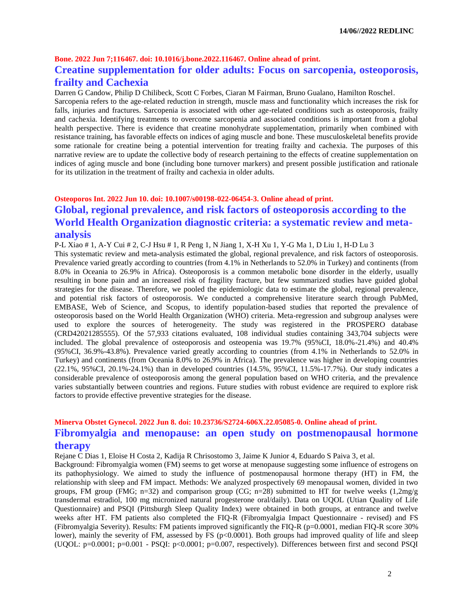### **Bone. 2022 Jun 7;116467. doi: 10.1016/j.bone.2022.116467. Online ahead of print.**

## **Creatine supplementation for older adults: Focus on sarcopenia, osteoporosis, frailty and Cachexia**

Darren G Candow, Philip D Chilibeck, Scott C Forbes, Ciaran M Fairman, Bruno Gualano, Hamilton Roschel.

Sarcopenia refers to the age-related reduction in strength, muscle mass and functionality which increases the risk for falls, injuries and fractures. Sarcopenia is associated with other age-related conditions such as osteoporosis, frailty and cachexia. Identifying treatments to overcome sarcopenia and associated conditions is important from a global health perspective. There is evidence that creatine monohydrate supplementation, primarily when combined with resistance training, has favorable effects on indices of aging muscle and bone. These musculoskeletal benefits provide some rationale for creatine being a potential intervention for treating frailty and cachexia. The purposes of this narrative review are to update the collective body of research pertaining to the effects of creatine supplementation on indices of aging muscle and bone (including bone turnover markers) and present possible justification and rationale for its utilization in the treatment of frailty and cachexia in older adults.

# **Osteoporos Int. 2022 Jun 10. doi: 10.1007/s00198-022-06454-3. Online ahead of print. Global, regional prevalence, and risk factors of osteoporosis according to the World Health Organization diagnostic criteria: a systematic review and metaanalysis**

P-L Xiao # 1, A-Y Cui # 2, C-J Hsu # 1, R Peng 1, N Jiang 1, X-H Xu 1, Y-G Ma 1, D Liu 1, H-D Lu 3

This systematic review and meta-analysis estimated the global, regional prevalence, and risk factors of osteoporosis. Prevalence varied greatly according to countries (from 4.1% in Netherlands to 52.0% in Turkey) and continents (from 8.0% in Oceania to 26.9% in Africa). Osteoporosis is a common metabolic bone disorder in the elderly, usually resulting in bone pain and an increased risk of fragility fracture, but few summarized studies have guided global strategies for the disease. Therefore, we pooled the epidemiologic data to estimate the global, regional prevalence, and potential risk factors of osteoporosis. We conducted a comprehensive literature search through PubMed, EMBASE, Web of Science, and Scopus, to identify population-based studies that reported the prevalence of osteoporosis based on the World Health Organization (WHO) criteria. Meta-regression and subgroup analyses were used to explore the sources of heterogeneity. The study was registered in the PROSPERO database (CRD42021285555). Of the 57,933 citations evaluated, 108 individual studies containing 343,704 subjects were included. The global prevalence of osteoporosis and osteopenia was 19.7% (95%CI, 18.0%-21.4%) and 40.4% (95%CI, 36.9%-43.8%). Prevalence varied greatly according to countries (from 4.1% in Netherlands to 52.0% in Turkey) and continents (from Oceania 8.0% to 26.9% in Africa). The prevalence was higher in developing countries (22.1%, 95%CI, 20.1%-24.1%) than in developed countries (14.5%, 95%CI, 11.5%-17.7%). Our study indicates a considerable prevalence of osteoporosis among the general population based on WHO criteria, and the prevalence varies substantially between countries and regions. Future studies with robust evidence are required to explore risk factors to provide effective preventive strategies for the disease.

## **Minerva Obstet Gynecol. 2022 Jun 8. doi: 10.23736/S2724-606X.22.05085-0. Online ahead of print. Fibromyalgia and menopause: an open study on postmenopausal hormone therapy**

Rejane C Dias 1, Eloise H Costa 2, Kadija R Chrisostomo 3, Jaime K Junior 4, Eduardo S Paiva 3, et al.

Background: Fibromyalgia women (FM) seems to get worse at menopause suggesting some influence of estrogens on its pathophysiology. We aimed to study the influence of postmenopausal hormone therapy (HT) in FM, the relationship with sleep and FM impact. Methods: We analyzed prospectively 69 menopausal women, divided in two groups, FM group (FMG; n=32) and comparison group (CG; n=28) submitted to HT for twelve weeks (1,2mg/g transdermal estradiol, 100 mg micronized natural progesterone oral/daily). Data on UQOL (Utian Quality of Life Questionnaire) and PSQI (Pittsburgh Sleep Quality Index) were obtained in both groups, at entrance and twelve weeks after HT. FM patients also completed the FIQ-R (Fibromyalgia Impact Questionnaire - revised) and FS (Fibromyalgia Severity). Results: FM patients improved significantly the FIQ-R (p=0.0001, median FIQ-R score 30% lower), mainly the severity of FM, assessed by FS ( $p<0.0001$ ). Both groups had improved quality of life and sleep (UQOL: p=0.0001; p=0.001 - PSQI: p<0.0001; p=0.007, respectively). Differences between first and second PSQI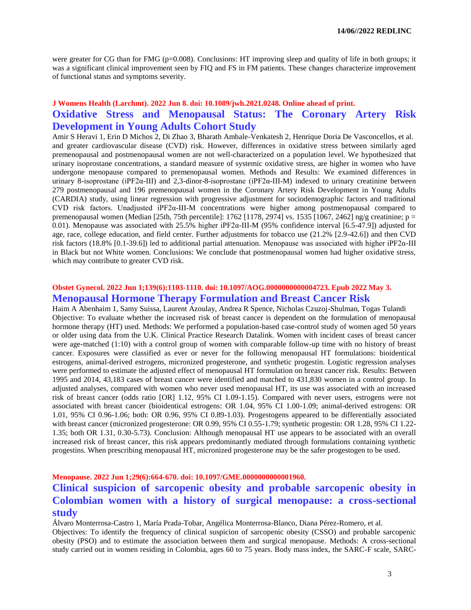were greater for CG than for FMG ( $p=0.008$ ). Conclusions: HT improving sleep and quality of life in both groups; it was a significant clinical improvement seen by FIQ and FS in FM patients. These changes characterize improvement of functional status and symptoms severity.

## **J Womens Health (Larchmt). 2022 Jun 8. doi: 10.1089/jwh.2021.0248. Online ahead of print. Oxidative Stress and Menopausal Status: The Coronary Artery Risk Development in Young Adults Cohort Study**

Amir S Heravi 1, Erin D Michos 2, Di Zhao 3, Bharath Ambale-Venkatesh 2, Henrique Doria De Vasconcellos, et al. and greater cardiovascular disease (CVD) risk. However, differences in oxidative stress between similarly aged premenopausal and postmenopausal women are not well-characterized on a population level. We hypothesized that urinary isoprostane concentrations, a standard measure of systemic oxidative stress, are higher in women who have undergone menopause compared to premenopausal women. Methods and Results: We examined differences in urinary 8-isoprostane (iPF2α-III) and 2,3-dinor-8-isoprostane (iPF2α-III-M) indexed to urinary creatinine between 279 postmenopausal and 196 premenopausal women in the Coronary Artery Risk Development in Young Adults (CARDIA) study, using linear regression with progressive adjustment for sociodemographic factors and traditional CVD risk factors. Unadjusted iPF2α-III-M concentrations were higher among postmenopausal compared to premenopausal women (Median [25th, 75th percentile]: 1762 [1178, 2974] vs. 1535 [1067, 2462] ng/g creatinine;  $p =$ 0.01). Menopause was associated with 25.5% higher iPF2α-III-M (95% confidence interval [6.5-47.9]) adjusted for age, race, college education, and field center. Further adjustments for tobacco use (21.2% [2.9-42.6]) and then CVD risk factors (18.8% [0.1-39.6]) led to additional partial attenuation. Menopause was associated with higher iPF2α-III in Black but not White women. Conclusions: We conclude that postmenopausal women had higher oxidative stress, which may contribute to greater CVD risk.

### **Obstet Gynecol. 2022 Jun 1;139(6):1103-1110. doi: 10.1097/AOG.0000000000004723. Epub 2022 May 3. Menopausal Hormone Therapy Formulation and Breast Cancer Risk**

Haim A Abenhaim 1, Samy Suissa, Laurent Azoulay, Andrea R Spence, Nicholas Czuzoj-Shulman, Togas Tulandi Objective: To evaluate whether the increased risk of breast cancer is dependent on the formulation of menopausal hormone therapy (HT) used. Methods: We performed a population-based case-control study of women aged 50 years or older using data from the U.K. Clinical Practice Research Datalink. Women with incident cases of breast cancer were age-matched (1:10) with a control group of women with comparable follow-up time with no history of breast cancer. Exposures were classified as ever or never for the following menopausal HT formulations: bioidentical estrogens, animal-derived estrogens, micronized progesterone, and synthetic progestin. Logistic regression analyses were performed to estimate the adjusted effect of menopausal HT formulation on breast cancer risk. Results: Between 1995 and 2014, 43,183 cases of breast cancer were identified and matched to 431,830 women in a control group. In adjusted analyses, compared with women who never used menopausal HT, its use was associated with an increased risk of breast cancer (odds ratio [OR] 1.12, 95% CI 1.09-1.15). Compared with never users, estrogens were not associated with breast cancer (bioidentical estrogens: OR 1.04, 95% CI 1.00-1.09; animal-derived estrogens: OR 1.01, 95% CI 0.96-1.06; both: OR 0.96, 95% CI 0.89-1.03). Progestogens appeared to be differentially associated with breast cancer (micronized progesterone: OR 0.99, 95% CI 0.55-1.79; synthetic progestin: OR 1.28, 95% CI 1.22-1.35; both OR 1.31, 0.30-5.73). Conclusion: Although menopausal HT use appears to be associated with an overall increased risk of breast cancer, this risk appears predominantly mediated through formulations containing synthetic progestins. When prescribing menopausal HT, micronized progesterone may be the safer progestogen to be used.

### **Menopause. 2022 Jun 1;29(6):664-670. doi: 10.1097/GME.0000000000001960.**

# **Clinical suspicion of sarcopenic obesity and probable sarcopenic obesity in Colombian women with a history of surgical menopause: a cross-sectional study**

Álvaro Monterrosa-Castro 1, María Prada-Tobar, Angélica Monterrosa-Blanco, Diana Pérez-Romero, et al.

Objectives: To identify the frequency of clinical suspicion of sarcopenic obesity (CSSO) and probable sarcopenic obesity (PSO) and to estimate the association between them and surgical menopause. Methods: A cross-sectional study carried out in women residing in Colombia, ages 60 to 75 years. Body mass index, the SARC-F scale, SARC-